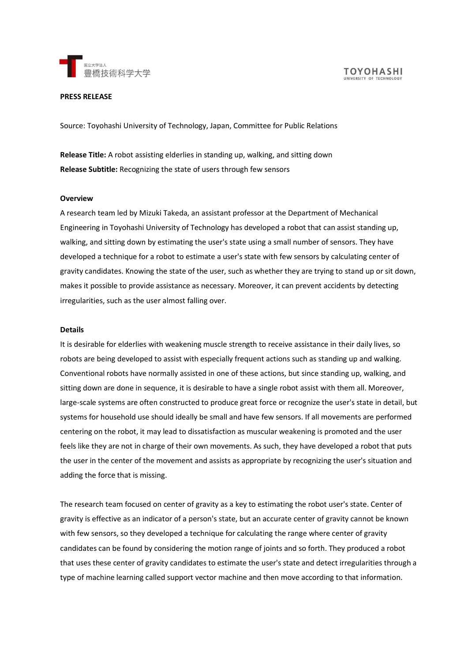



#### **PRESS RELEASE**

Source: Toyohashi University of Technology, Japan, Committee for Public Relations

**Release Title:** A robot assisting elderlies in standing up, walking, and sitting down **Release Subtitle:** Recognizing the state of users through few sensors

#### **Overview**

A research team led by Mizuki Takeda, an assistant professor at the Department of Mechanical Engineering in Toyohashi University of Technology has developed a robot that can assist standing up, walking, and sitting down by estimating the user's state using a small number of sensors. They have developed a technique for a robot to estimate a user's state with few sensors by calculating center of gravity candidates. Knowing the state of the user, such as whether they are trying to stand up or sit down, makes it possible to provide assistance as necessary. Moreover, it can prevent accidents by detecting irregularities, such as the user almost falling over.

#### **Details**

It is desirable for elderlies with weakening muscle strength to receive assistance in their daily lives, so robots are being developed to assist with especially frequent actions such as standing up and walking. Conventional robots have normally assisted in one of these actions, but since standing up, walking, and sitting down are done in sequence, it is desirable to have a single robot assist with them all. Moreover, large-scale systems are often constructed to produce great force or recognize the user's state in detail, but systems for household use should ideally be small and have few sensors. If all movements are performed centering on the robot, it may lead to dissatisfaction as muscular weakening is promoted and the user feels like they are not in charge of their own movements. As such, they have developed a robot that puts the user in the center of the movement and assists as appropriate by recognizing the user's situation and adding the force that is missing.

The research team focused on center of gravity as a key to estimating the robot user's state. Center of gravity is effective as an indicator of a person's state, but an accurate center of gravity cannot be known with few sensors, so they developed a technique for calculating the range where center of gravity candidates can be found by considering the motion range of joints and so forth. They produced a robot that uses these center of gravity candidates to estimate the user's state and detect irregularities through a type of machine learning called support vector machine and then move according to that information.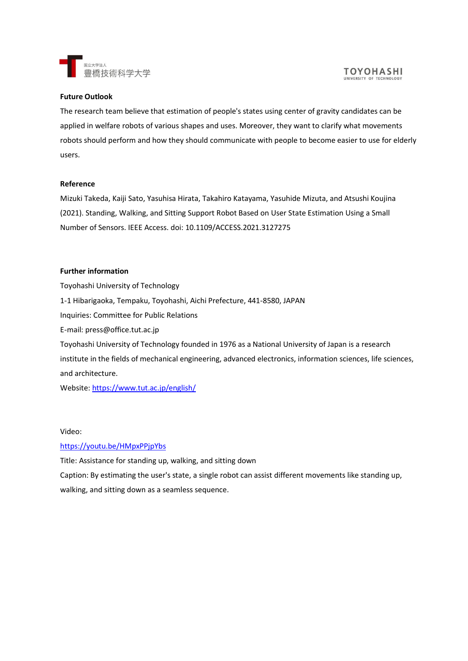

## **Future Outlook**

The research team believe that estimation of people's states using center of gravity candidates can be applied in welfare robots of various shapes and uses. Moreover, they want to clarify what movements robots should perform and how they should communicate with people to become easier to use for elderly users.

## **Reference**

Mizuki Takeda, Kaiji Sato, Yasuhisa Hirata, Takahiro Katayama, Yasuhide Mizuta, and Atsushi Koujina (2021). Standing, Walking, and Sitting Support Robot Based on User State Estimation Using a Small Number of Sensors. IEEE Access. doi: 10.1109/ACCESS.2021.3127275

## **Further information**

Toyohashi University of Technology 1-1 Hibarigaoka, Tempaku, Toyohashi, Aichi Prefecture, 441-8580, JAPAN Inquiries: Committee for Public Relations E-mail: press@office.tut.ac.jp Toyohashi University of Technology founded in 1976 as a National University of Japan is a research institute in the fields of mechanical engineering, advanced electronics, information sciences, life sciences, and architecture.

Website:<https://www.tut.ac.jp/english/>

## Video:

# <https://youtu.be/HMpxPPjpYbs>

Title: Assistance for standing up, walking, and sitting down

Caption: By estimating the user's state, a single robot can assist different movements like standing up, walking, and sitting down as a seamless sequence.